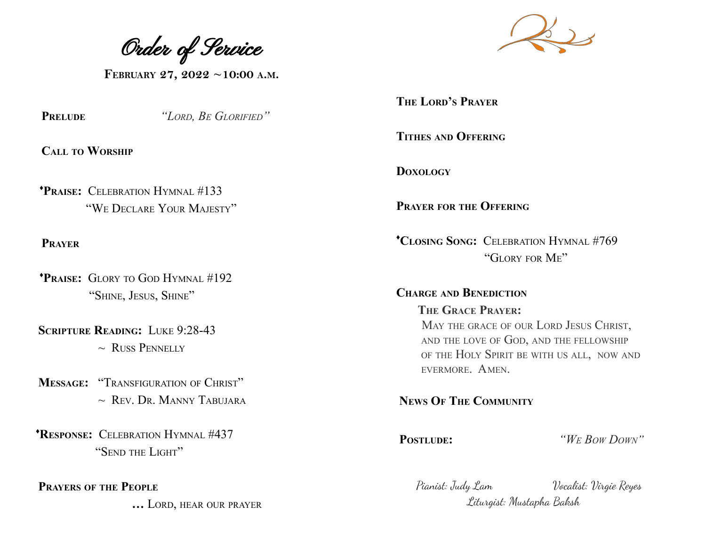Order of Service

**FEBRUARY 27, 2022 ~10:00 <sup>A</sup>.M.**

**PRELUDE** *"LORD, BE GLORIFIED"*

**CALL TO WORSHIP**

♦**PRAISE:** CELEBRATION HYMNAL #133 "WE DECLARE YOUR MAJESTY"

**PRAYER**

♦**PRAISE:** GLORY TO GOD HYMNAL #192 "SHINE, JESUS, SHINE"

**SCRIPTURE READING:** LUKE 9:28-43  $\sim$  RUSS PENNELLY

**MESSAGE:** "TRANSFIGURATION OF CHRIST"  $\sim$  Rev. Dr. MANNY TABUJARA

♦**RESPONSE:** CELEBRATION HYMNAL #437 "SEND THE LIGHT"

**PRAYERS OF THE PEOPLE**

**…** LORD, HEAR OUR PRAYER



**THE LORD'S PRAYER**

**TITHES AND OFFERING**

**DOXOLOGY**

**PRAYER FOR THE OFFERING**

♦**CLOSING SONG:** CELEBRATION HYMNAL #769 "GLORY FOR ME"

**CHARGE AND BENEDICTION THE GRACE PRAYER:** MAY THE GRACE OF OUR LORD JESUS CHRIST, AND THE LOVE OF GOD, AND THE FELLOWSHIP OF THE HOLY SPIRIT BE WITH US ALL, NOW AND EVERMORE. AMEN.

**NEWS OF THE COMMUNITY**

**POSTLUDE:** *"W<sup>E</sup> BOW DOWN"*

Pianist: Judy Lam Vocalist: Virgie Reyes Liturgist: Mustapha Baksh